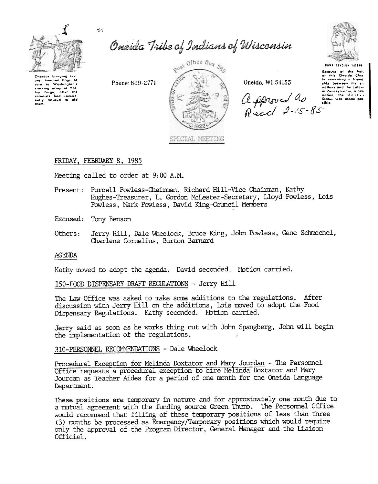



Onaidas bringing ti ural hundred back of corn to Washington's torn to wantum of Vol.<br>Ity forge, after the<br>colonists had consist-<br>ently refused to aid them

Oneida Tribe of Indians of Wisconsin



USWA DENOLUM TATENE

Because of the hels<br>of this Oneida Chie<br>In cementing a friend ahia between the su Proton and the Caton nations and the Calony

Phone: 869-2771



Oneida, WI 54155

FRIDAY, FEBRUARY 8, 1985

Meeting called to order at 9:00 A.M.

- Present: Purcell Powless-Chairman, Richard Hill-Vice Chairman, Kathy Hughes-Treasurer, L. Gordon McLester-Secretary, Lloyd Powless, Lois Powless, Mark Powless, David King-Council Members
- Excused: Tony Benson
- Jerry Hill, Dale Wheelock, Bruce King, John Powless, Gene Schmechel, Others: Charlene Cornelius, Burton Barnard

## **AGENDA**

Kathy moved to adopt the agenda. David seconded. Motion carried.

150-FOOD DISPENSARY DRAFT REGULATIONS - Jerry Hill

The Law Office was asked to make some additions to the regulations. After discussion with Jerry Hill on the additions, Lois moved to adopt the Food Dispensary Regulations. Kathy seconded. Motion carried.

Jerry said as soon as he works thing out with John Spangberg, John will begin the implementation of the regulations.

310-PERSONNEL RECOMMENDATIONS - Dale Wheelock

Procedural Exception for Melinda Doxtator and Mary Jourdan - The Personnel Office requests a procedural exception to hire Melinda Doxtator and Mary Jourdan as Teacher Aides for a period of one month for the Oneida Language Department.

These positions are temporary in nature and for approximately one month due to a mutual agreement with the funding source Green Thumb. The Personnel Office would recommend that filling of these temporary positions of less than three (3) months be processed as Emergency/Temporary positions which would require only the approval of the Program Director, General Manager and the Liaison Official.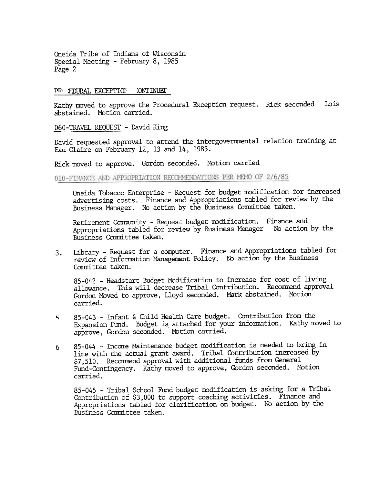Oneida Tribe of Indians of Wisconsin Special Meeting - February 8, 1985 Page 2

### PR EDURAL EXCEPTION CONTINUEL

Kathy moved to approve the Procedural Exception request. Rick seconded Lois abstained. Motion carried.

060-TRAVEL REQUEST - David King

David requested approval to attend the intergovernmental relation training at Eau Claire on February 12, 13 and 14, 1985.

Rick moved to approve. Gordon seconded. Motion carried

010-FINANCE AND APPROPRIATION RECOMMENDATIONS PER MEMO OF 2/6/85

Oneida Tobacco Enterprise - Request for budget modification for increased advertising costs. Finance and Appropriations tabled for review by the Business Manager. No action by the Business Committee taken.

Retirement Community - Request budget modification. Finance and Appropriations tabled for review by Business Manager No action by the Business Committee taken.

Library - Request for a computer. Finance and Appropriations tabled for 3. review of Information Management Policy. No action by the Business Conmi ttee taken.

85-042 - Headstart Budget Modification to increase for cost of living allowance. This will decrease Tribal Contribution. Recommend approval Gordon Moved to approve, Lloyd seconded. Mark abstained. Motion carried.

- c; 85-043 -Infant & Child Healtll Care budget. Contribution from the Expansion Fund. Budget is attached for your information. Kathy moved to approve, Gordon seconded. Motion carried.
- 85-044 Income Maintenance budget modification is needed to bring in line with the actual grant award. Tribal Contribution increased by \$7,510. Recommend approval with additional funds from General Fund-Contingency. Kathy moved to approve, Gordon seconded. Motion carried. 6

85-045 - Tribal School Fund budget modification is asking for a Tribal Contribution of \$3,000 to support coaching activities. Finance and Appropriations tabled for clarification on budget. No action by the Business Committee taken.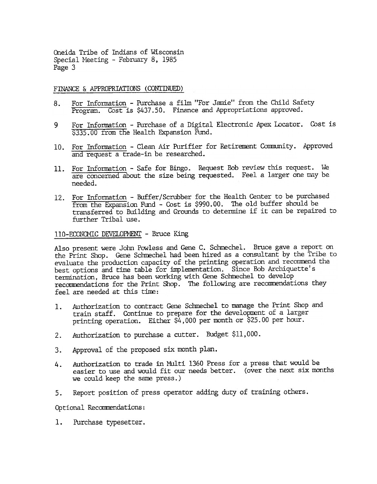Oneida Tribe of Indians of Wisconsin Special Meeting - February 8, 1985 Page 3

### FINANCE & APPROPRIATIONS (CONTINUED)

- 8. For Information Purchase a film "For Jamie" from the Child Safety Program. Cost is \$437.50. Finance and Appropriations approved.
- For Information Purchase of a Digital Electronic Apex Locator. Cost is  $$335.00$  from the Health Expansion Fund. 9
- 10. For Information Clean Air Purifier for Retirement Community. Approved and request a trade-in be researched.
- 11. For Information Safe for Bingo. Request Bob review this request. We are concerned about the size being requested. Feel a larger one may be needed.
- 12. For Information Buffer/Scrubber for the Health Center to be purchased from the Expansion Fund - Cost is \$990.00. The old buffer should be transferred to Building and Grounds to determine if it can be repaired to further Tribal use.

# 110-ECONOMIC DEVELOPMENT - Bruce King

Also present were John Powless and Gene C. Schmechel. Bruce gave a report on the Print Shop. Gene Schmechel had been hired as a consultant by the Tribe to evaluate the production capacity of the printing operation and recommend the best options and time table for implementation. Since Bob Archiquette's tennination, Bruce has been working with Gene Schmechel to develop recommendations for the Print Shop. The following are recommendations they feel are needed at this time:

- Authorization to contract Gene Schmechel to manage the Print Shop and train staff. Continue to prepare for the development of a larger printing operation. Either \$4, 000 per month or \$25. 00 per hour. 1.
- Authorization to purchase a cutter. Budget \$11,00  $2.$
- 3. Approval of the proposed six month plan.
- 4. Authorization to trade in MUlti 1360 Press for a press that would be easier to use and would fit our needs better. (over the next six months we could keep the same press.)
- Report position of press operator adding duty of training odhers. 5.

Optional Recommendations<br>1. Purchase typesetter 1. Purchase typesetter.<br>1. Purchase typesetter.<br>.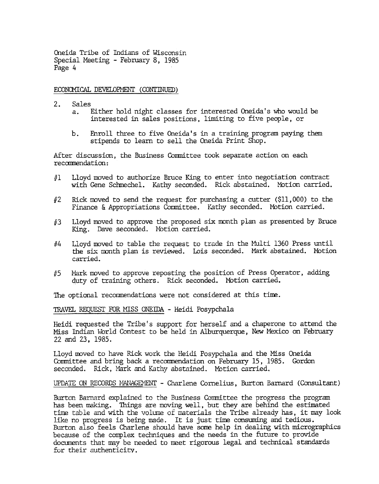Oneida Tribe of Indians of Wisconsir. Special Meeting - February 8, 1985 Page 4

## ECONOMICAL DEVELOPMENT (CONTINUED)

- $2.$ Sales
	- a. Either hold night classes for interested Oneida's who would be interested in sales positions. limiting to five people. or
	- b. Enroll three to five Oneida's in a training program paying them stipends to learn to sell the Oneida Print Shop.

After discussion, the Business Committee took separate action on each recommendation:

- #1 Lloyd moved to authorize Bruce King to enter into negotiation contract with Gene Schmechel. Kathy seconded. Rick abstained. Motion carried.
- Rick moved to send the request for purchasing a cutter  $(S11,000)$  to the Finance & Appropriations Committee. Kathy seconded. Motion carried. #2
- $#3$  Lloyd moved to approve the proposed six month plan as presented by Bruce King. Dave seconded. Motion carried.
- Lloyd moved to table the request to trade in the Multi 1360 Press until fJ4 the six month plan is reviewed. Lois seconded. Mark abstained. Motion carried.
- Mark moved to approve reposting the position of Press Operator, adding duty of training others. Rick seconded. Motion carried. 115

The optional recommendations were not considered at this time.

TRAVEL REQUEST FOR MISS ONEIDA - Heidi Posypchala

Heidi requested the Tribe's support for herself and a chaperone to attend the Miss Indian World Contest to be held in Alburquerque, New Mexico on February 22 and 23,1985.

Lloyd moved to have Rick work the Heidi Posypchala and the Miss Oneida Conmittee and bring back a recommendation on February 15, 1985. Gordon seconded. Rick, Mark and Kathy abstained. Motion carried.

UPDATE ON RECORDS MANAGEMENT - Charlene Cornelius, Burton Barnard (Consultant)

Burton Barnard explained to the Business Conmittee the progress the program has been making. Things are moving well, but they are behind the estimated time table and with the volume of materials the Tribe already has, it may look like no progress is being made. It is just time consuming and tedious. Burton also feels Charlene should have some help in dealing with micrographics because of the complex techniques and the needs in the future to provide documents that may be needed to meet rigorous legal and technical standards for their authenticity.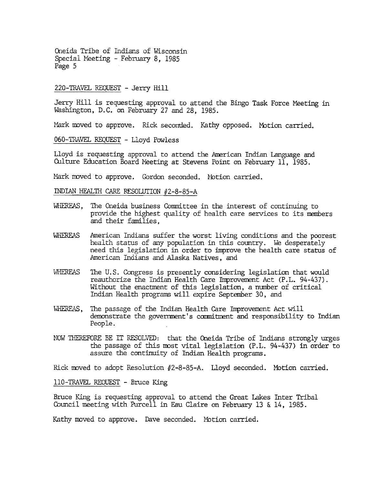Cneida Tribe of Indians of Wisconsin Special Meeting - February 8, 1985 Page 5

### 220-TRAVEL REQUEST - Jerry Hill

Jerry Hill is requesting approval to attend the Bingo Task Force Meeting in washington, D.C. on February 27 and 28, 1985.

Mark moved to approve. Rick seconded. Kathy opposed. Motion carried.

060-TRAVEL REQUEST - Lloyd Powless

Lloyd is requesting approval to attend the American Indian Language and Culture Education Board Meeting at Stevens Point on February 11, 1985.

Mark moved to approve. Gordon seconded. Motion carried.

INDIAN HEALTH CARE RESOLUTION  $#2-8-85-A$ 

- WHEREAS, The Oneida business Committee in the interest of continuing to provide the highest quality of health care services to its members and their families,
- WHEREAS American Indians suffer the worst living conditions and the poorest health status of any population in this country. We desperately need this legislation in order to improve the health care status of American Indians and Alaska Natives, and
- WHEREAS The U.S. Congress is presently considering legislation that would reauthorize the Indian Health Care Improvement Act (P.L. 94-437). Without the enactment of this legislation, a number of critical Indian Health programs will expire September 30, and
- WHEREAS, The passage of the Indian Health Care Improvement Act will demonstrate the government's commitment and responsibility to Indian People.
- NOW THEREFORE BE IT RESOLVED: that the Oneida Tribe of Indians strongly urges the passage of this most vital legislation (P.L. 94-437) in order to assure the continuity of Indian Health programs.

Rick moved to adopt Resolution  $#2-8-85-A$ . Lloyd seconded. Motion carried.

110-TRAVEL REQUEST - Bruce King

Bruce King is requesting approval to attend the Great lakes Inter Tribal Council meeting with Purcell in Eau Claire on February 13 & 14, 1985.

Kathy moved to approve. Dave seconded. Motion carried.